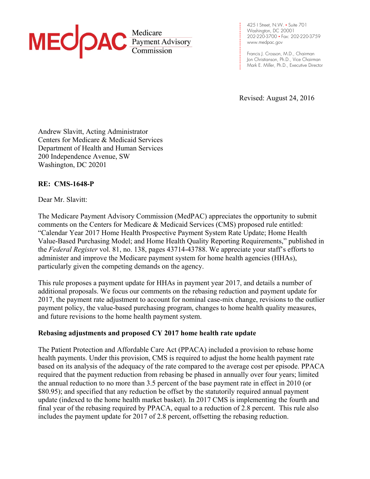

**. . .**  www.medpac.gov 425 I Street, N.W. • Suite 701 Washington, DC 20001 202-220-3700 • Fax: 202-220-3759

**. . . . . . . . . .** 

**.** 

**.**

**. . . .**  Francis J. Crosson, M.D., Chairman **1** Jon Christianson, Ph.D., Vice Chairman **. . .**  Mark E. Miller, Ph.D., Executive Director

Revised: August 24, 2016

Andrew Slavitt, Acting Administrator Centers for Medicare & Medicaid Services Department of Health and Human Services 200 Independence Avenue, SW Washington, DC 20201

# **RE: CMS-1648-P**

Dear Mr. Slavitt:

The Medicare Payment Advisory Commission (MedPAC) appreciates the opportunity to submit comments on the Centers for Medicare & Medicaid Services (CMS) proposed rule entitled: "Calendar Year 2017 Home Health Prospective Payment System Rate Update; Home Health Value-Based Purchasing Model; and Home Health Quality Reporting Requirements," published in the *Federal Register* vol. 81, no. 138, pages 43714-43788. We appreciate your staff's efforts to administer and improve the Medicare payment system for home health agencies (HHAs), particularly given the competing demands on the agency.

This rule proposes a payment update for HHAs in payment year 2017, and details a number of additional proposals. We focus our comments on the rebasing reduction and payment update for 2017, the payment rate adjustment to account for nominal case-mix change, revisions to the outlier payment policy, the value-based purchasing program, changes to home health quality measures, and future revisions to the home health payment system.

# **Rebasing adjustments and proposed CY 2017 home health rate update**

The Patient Protection and Affordable Care Act (PPACA) included a provision to rebase home health payments. Under this provision, CMS is required to adjust the home health payment rate based on its analysis of the adequacy of the rate compared to the average cost per episode. PPACA required that the payment reduction from rebasing be phased in annually over four years; limited the annual reduction to no more than 3.5 percent of the base payment rate in effect in 2010 (or \$80.95); and specified that any reduction be offset by the statutorily required annual payment update (indexed to the home health market basket). In 2017 CMS is implementing the fourth and final year of the rebasing required by PPACA, equal to a reduction of 2.8 percent. This rule also includes the payment update for 2017 of 2.8 percent, offsetting the rebasing reduction.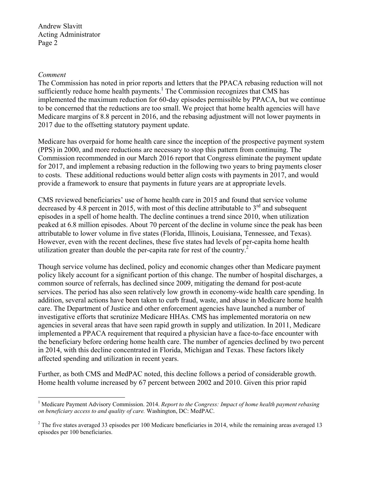#### *Comment*

 $\overline{a}$ 

The Commission has noted in prior reports and letters that the PPACA rebasing reduction will not sufficiently reduce home health payments.<sup>1</sup> The Commission recognizes that CMS has implemented the maximum reduction for 60-day episodes permissible by PPACA, but we continue to be concerned that the reductions are too small. We project that home health agencies will have Medicare margins of 8.8 percent in 2016, and the rebasing adjustment will not lower payments in 2017 due to the offsetting statutory payment update.

Medicare has overpaid for home health care since the inception of the prospective payment system (PPS) in 2000, and more reductions are necessary to stop this pattern from continuing. The Commission recommended in our March 2016 report that Congress eliminate the payment update for 2017, and implement a rebasing reduction in the following two years to bring payments closer to costs. These additional reductions would better align costs with payments in 2017, and would provide a framework to ensure that payments in future years are at appropriate levels.

CMS reviewed beneficiaries' use of home health care in 2015 and found that service volume decreased by 4.8 percent in 2015, with most of this decline attributable to  $3<sup>rd</sup>$  and subsequent episodes in a spell of home health. The decline continues a trend since 2010, when utilization peaked at 6.8 million episodes. About 70 percent of the decline in volume since the peak has been attributable to lower volume in five states (Florida, Illinois, Louisiana, Tennessee, and Texas). However, even with the recent declines, these five states had levels of per-capita home health utilization greater than double the per-capita rate for rest of the country.<sup>2</sup>

Though service volume has declined, policy and economic changes other than Medicare payment policy likely account for a significant portion of this change. The number of hospital discharges, a common source of referrals, has declined since 2009, mitigating the demand for post-acute services. The period has also seen relatively low growth in economy-wide health care spending. In addition, several actions have been taken to curb fraud, waste, and abuse in Medicare home health care. The Department of Justice and other enforcement agencies have launched a number of investigative efforts that scrutinize Medicare HHAs. CMS has implemented moratoria on new agencies in several areas that have seen rapid growth in supply and utilization. In 2011, Medicare implemented a PPACA requirement that required a physician have a face-to-face encounter with the beneficiary before ordering home health care. The number of agencies declined by two percent in 2014, with this decline concentrated in Florida, Michigan and Texas. These factors likely affected spending and utilization in recent years.

Further, as both CMS and MedPAC noted, this decline follows a period of considerable growth. Home health volume increased by 67 percent between 2002 and 2010. Given this prior rapid

<sup>&</sup>lt;sup>1</sup> Medicare Payment Advisory Commission. 2014. *Report to the Congress: Impact of home health payment rebasing on beneficiary access to and quality of care.* Washington, DC: MedPAC.

 $2^2$  The five states averaged 33 episodes per 100 Medicare beneficiaries in 2014, while the remaining areas averaged 13 episodes per 100 beneficiaries.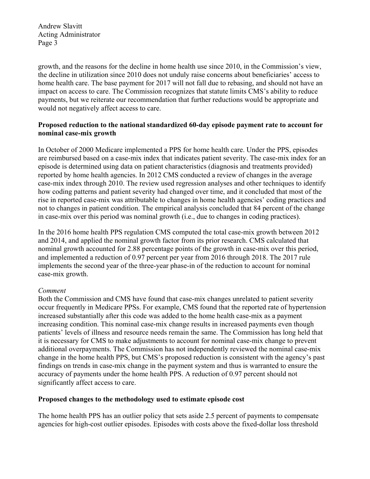growth, and the reasons for the decline in home health use since 2010, in the Commission's view, the decline in utilization since 2010 does not unduly raise concerns about beneficiaries' access to home health care. The base payment for 2017 will not fall due to rebasing, and should not have an impact on access to care. The Commission recognizes that statute limits CMS's ability to reduce payments, but we reiterate our recommendation that further reductions would be appropriate and would not negatively affect access to care.

### **Proposed reduction to the national standardized 60-day episode payment rate to account for nominal case-mix growth**

In October of 2000 Medicare implemented a PPS for home health care. Under the PPS, episodes are reimbursed based on a case-mix index that indicates patient severity. The case-mix index for an episode is determined using data on patient characteristics (diagnosis and treatments provided) reported by home health agencies. In 2012 CMS conducted a review of changes in the average case-mix index through 2010. The review used regression analyses and other techniques to identify how coding patterns and patient severity had changed over time, and it concluded that most of the rise in reported case-mix was attributable to changes in home health agencies' coding practices and not to changes in patient condition. The empirical analysis concluded that 84 percent of the change in case-mix over this period was nominal growth (i.e., due to changes in coding practices).

In the 2016 home health PPS regulation CMS computed the total case-mix growth between 2012 and 2014, and applied the nominal growth factor from its prior research. CMS calculated that nominal growth accounted for 2.88 percentage points of the growth in case-mix over this period, and implemented a reduction of 0.97 percent per year from 2016 through 2018. The 2017 rule implements the second year of the three-year phase-in of the reduction to account for nominal case-mix growth.

# *Comment*

Both the Commission and CMS have found that case-mix changes unrelated to patient severity occur frequently in Medicare PPSs. For example, CMS found that the reported rate of hypertension increased substantially after this code was added to the home health case-mix as a payment increasing condition. This nominal case-mix change results in increased payments even though patients' levels of illness and resource needs remain the same. The Commission has long held that it is necessary for CMS to make adjustments to account for nominal case-mix change to prevent additional overpayments. The Commission has not independently reviewed the nominal case-mix change in the home health PPS, but CMS's proposed reduction is consistent with the agency's past findings on trends in case-mix change in the payment system and thus is warranted to ensure the accuracy of payments under the home health PPS. A reduction of 0.97 percent should not significantly affect access to care.

# **Proposed changes to the methodology used to estimate episode cost**

The home health PPS has an outlier policy that sets aside 2.5 percent of payments to compensate agencies for high-cost outlier episodes. Episodes with costs above the fixed-dollar loss threshold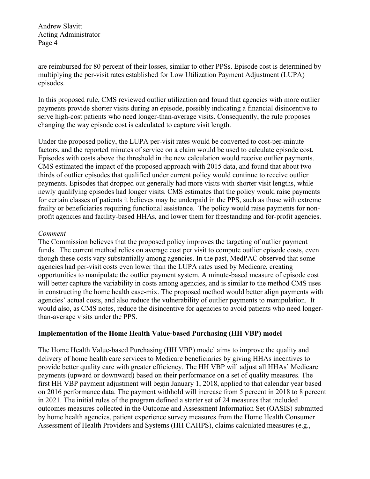are reimbursed for 80 percent of their losses, similar to other PPSs. Episode cost is determined by multiplying the per-visit rates established for Low Utilization Payment Adjustment (LUPA) episodes.

In this proposed rule, CMS reviewed outlier utilization and found that agencies with more outlier payments provide shorter visits during an episode, possibly indicating a financial disincentive to serve high-cost patients who need longer-than-average visits. Consequently, the rule proposes changing the way episode cost is calculated to capture visit length.

Under the proposed policy, the LUPA per-visit rates would be converted to cost-per-minute factors, and the reported minutes of service on a claim would be used to calculate episode cost. Episodes with costs above the threshold in the new calculation would receive outlier payments. CMS estimated the impact of the proposed approach with 2015 data, and found that about twothirds of outlier episodes that qualified under current policy would continue to receive outlier payments. Episodes that dropped out generally had more visits with shorter visit lengths, while newly qualifying episodes had longer visits. CMS estimates that the policy would raise payments for certain classes of patients it believes may be underpaid in the PPS, such as those with extreme frailty or beneficiaries requiring functional assistance. The policy would raise payments for nonprofit agencies and facility-based HHAs, and lower them for freestanding and for-profit agencies.

### *Comment*

The Commission believes that the proposed policy improves the targeting of outlier payment funds. The current method relies on average cost per visit to compute outlier episode costs, even though these costs vary substantially among agencies. In the past, MedPAC observed that some agencies had per-visit costs even lower than the LUPA rates used by Medicare, creating opportunities to manipulate the outlier payment system. A minute-based measure of episode cost will better capture the variability in costs among agencies, and is similar to the method CMS uses in constructing the home health case-mix. The proposed method would better align payments with agencies' actual costs, and also reduce the vulnerability of outlier payments to manipulation. It would also, as CMS notes, reduce the disincentive for agencies to avoid patients who need longerthan-average visits under the PPS.

### **Implementation of the Home Health Value-based Purchasing (HH VBP) model**

The Home Health Value-based Purchasing (HH VBP) model aims to improve the quality and delivery of home health care services to Medicare beneficiaries by giving HHAs incentives to provide better quality care with greater efficiency. The HH VBP will adjust all HHAs' Medicare payments (upward or downward) based on their performance on a set of quality measures. The first HH VBP payment adjustment will begin January 1, 2018, applied to that calendar year based on 2016 performance data. The payment withhold will increase from 5 percent in 2018 to 8 percent in 2021. The initial rules of the program defined a starter set of 24 measures that included outcomes measures collected in the Outcome and Assessment Information Set (OASIS) submitted by home health agencies, patient experience survey measures from the Home Health Consumer Assessment of Health Providers and Systems (HH CAHPS), claims calculated measures (e.g.,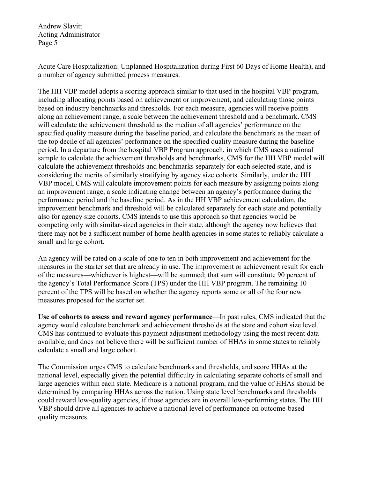Acute Care Hospitalization: Unplanned Hospitalization during First 60 Days of Home Health), and a number of agency submitted process measures.

The HH VBP model adopts a scoring approach similar to that used in the hospital VBP program, including allocating points based on achievement or improvement, and calculating those points based on industry benchmarks and thresholds. For each measure, agencies will receive points along an achievement range, a scale between the achievement threshold and a benchmark. CMS will calculate the achievement threshold as the median of all agencies' performance on the specified quality measure during the baseline period, and calculate the benchmark as the mean of the top decile of all agencies' performance on the specified quality measure during the baseline period. In a departure from the hospital VBP Program approach, in which CMS uses a national sample to calculate the achievement thresholds and benchmarks, CMS for the HH VBP model will calculate the achievement thresholds and benchmarks separately for each selected state, and is considering the merits of similarly stratifying by agency size cohorts. Similarly, under the HH VBP model, CMS will calculate improvement points for each measure by assigning points along an improvement range, a scale indicating change between an agency's performance during the performance period and the baseline period. As in the HH VBP achievement calculation, the improvement benchmark and threshold will be calculated separately for each state and potentially also for agency size cohorts. CMS intends to use this approach so that agencies would be competing only with similar-sized agencies in their state, although the agency now believes that there may not be a sufficient number of home health agencies in some states to reliably calculate a small and large cohort.

An agency will be rated on a scale of one to ten in both improvement and achievement for the measures in the starter set that are already in use. The improvement or achievement result for each of the measures—whichever is highest—will be summed; that sum will constitute 90 percent of the agency's Total Performance Score (TPS) under the HH VBP program. The remaining 10 percent of the TPS will be based on whether the agency reports some or all of the four new measures proposed for the starter set.

**Use of cohorts to assess and reward agency performance**—In past rules, CMS indicated that the agency would calculate benchmark and achievement thresholds at the state and cohort size level. CMS has continued to evaluate this payment adjustment methodology using the most recent data available, and does not believe there will be sufficient number of HHAs in some states to reliably calculate a small and large cohort.

The Commission urges CMS to calculate benchmarks and thresholds, and score HHAs at the national level, especially given the potential difficulty in calculating separate cohorts of small and large agencies within each state. Medicare is a national program, and the value of HHAs should be determined by comparing HHAs across the nation. Using state level benchmarks and thresholds could reward low-quality agencies, if those agencies are in overall low-performing states. The HH VBP should drive all agencies to achieve a national level of performance on outcome-based quality measures.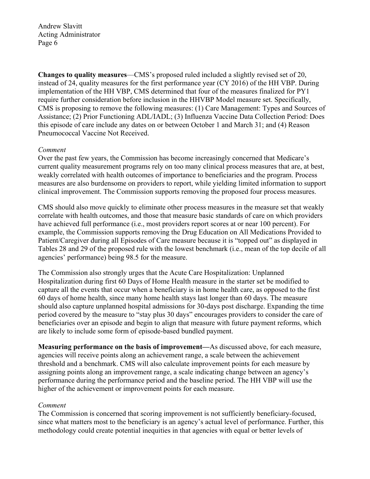**Changes to quality measures**—CMS's proposed ruled included a slightly revised set of 20, instead of 24, quality measures for the first performance year (CY 2016) of the HH VBP. During implementation of the HH VBP, CMS determined that four of the measures finalized for PY1 require further consideration before inclusion in the HHVBP Model measure set. Specifically, CMS is proposing to remove the following measures: (1) Care Management: Types and Sources of Assistance; (2) Prior Functioning ADL/IADL; (3) Influenza Vaccine Data Collection Period: Does this episode of care include any dates on or between October 1 and March 31; and (4) Reason Pneumococcal Vaccine Not Received.

### *Comment*

Over the past few years, the Commission has become increasingly concerned that Medicare's current quality measurement programs rely on too many clinical process measures that are, at best, weakly correlated with health outcomes of importance to beneficiaries and the program. Process measures are also burdensome on providers to report, while yielding limited information to support clinical improvement. The Commission supports removing the proposed four process measures.

CMS should also move quickly to eliminate other process measures in the measure set that weakly correlate with health outcomes, and those that measure basic standards of care on which providers have achieved full performance (i.e., most providers report scores at or near 100 percent). For example, the Commission supports removing the Drug Education on All Medications Provided to Patient/Caregiver during all Episodes of Care measure because it is "topped out" as displayed in Tables 28 and 29 of the proposed rule with the lowest benchmark (i.e., mean of the top decile of all agencies' performance) being 98.5 for the measure.

The Commission also strongly urges that the Acute Care Hospitalization: Unplanned Hospitalization during first 60 Days of Home Health measure in the starter set be modified to capture all the events that occur when a beneficiary is in home health care, as opposed to the first 60 days of home health, since many home health stays last longer than 60 days. The measure should also capture unplanned hospital admissions for 30-days post discharge. Expanding the time period covered by the measure to "stay plus 30 days" encourages providers to consider the care of beneficiaries over an episode and begin to align that measure with future payment reforms, which are likely to include some form of episode-based bundled payment.

**Measuring performance on the basis of improvement—**As discussed above, for each measure, agencies will receive points along an achievement range, a scale between the achievement threshold and a benchmark. CMS will also calculate improvement points for each measure by assigning points along an improvement range, a scale indicating change between an agency's performance during the performance period and the baseline period. The HH VBP will use the higher of the achievement or improvement points for each measure.

### *Comment*

The Commission is concerned that scoring improvement is not sufficiently beneficiary-focused, since what matters most to the beneficiary is an agency's actual level of performance. Further, this methodology could create potential inequities in that agencies with equal or better levels of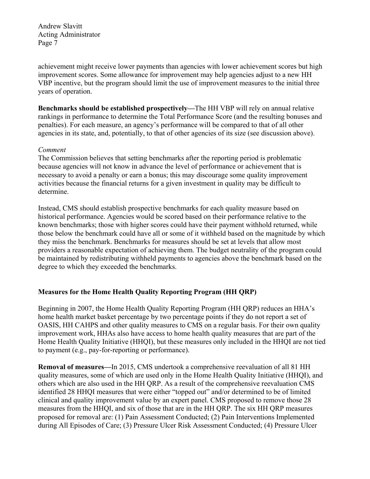achievement might receive lower payments than agencies with lower achievement scores but high improvement scores. Some allowance for improvement may help agencies adjust to a new HH VBP incentive, but the program should limit the use of improvement measures to the initial three years of operation.

**Benchmarks should be established prospectively—**The HH VBP will rely on annual relative rankings in performance to determine the Total Performance Score (and the resulting bonuses and penalties). For each measure, an agency's performance will be compared to that of all other agencies in its state, and, potentially, to that of other agencies of its size (see discussion above).

### *Comment*

The Commission believes that setting benchmarks after the reporting period is problematic because agencies will not know in advance the level of performance or achievement that is necessary to avoid a penalty or earn a bonus; this may discourage some quality improvement activities because the financial returns for a given investment in quality may be difficult to determine.

Instead, CMS should establish prospective benchmarks for each quality measure based on historical performance. Agencies would be scored based on their performance relative to the known benchmarks; those with higher scores could have their payment withhold returned, while those below the benchmark could have all or some of it withheld based on the magnitude by which they miss the benchmark. Benchmarks for measures should be set at levels that allow most providers a reasonable expectation of achieving them. The budget neutrality of the program could be maintained by redistributing withheld payments to agencies above the benchmark based on the degree to which they exceeded the benchmarks.

# **Measures for the Home Health Quality Reporting Program (HH QRP)**

Beginning in 2007, the Home Health Quality Reporting Program (HH QRP) reduces an HHA's home health market basket percentage by two percentage points if they do not report a set of OASIS, HH CAHPS and other quality measures to CMS on a regular basis. For their own quality improvement work, HHAs also have access to home health quality measures that are part of the Home Health Quality Initiative (HHQI), but these measures only included in the HHQI are not tied to payment (e.g., pay-for-reporting or performance).

**Removal of measures—**In 2015, CMS undertook a comprehensive reevaluation of all 81 HH quality measures, some of which are used only in the Home Health Quality Initiative (HHQI), and others which are also used in the HH QRP. As a result of the comprehensive reevaluation CMS identified 28 HHQI measures that were either "topped out" and/or determined to be of limited clinical and quality improvement value by an expert panel. CMS proposed to remove those 28 measures from the HHQI, and six of those that are in the HH QRP. The six HH QRP measures proposed for removal are: (1) Pain Assessment Conducted; (2) Pain Interventions Implemented during All Episodes of Care; (3) Pressure Ulcer Risk Assessment Conducted; (4) Pressure Ulcer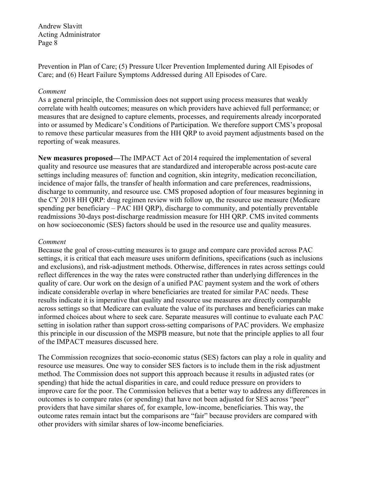Prevention in Plan of Care; (5) Pressure Ulcer Prevention Implemented during All Episodes of Care; and (6) Heart Failure Symptoms Addressed during All Episodes of Care.

### *Comment*

As a general principle, the Commission does not support using process measures that weakly correlate with health outcomes; measures on which providers have achieved full performance; or measures that are designed to capture elements, processes, and requirements already incorporated into or assumed by Medicare's Conditions of Participation. We therefore support CMS's proposal to remove these particular measures from the HH QRP to avoid payment adjustments based on the reporting of weak measures.

**New measures proposed—**The IMPACT Act of 2014 required the implementation of several quality and resource use measures that are standardized and interoperable across post-acute care settings including measures of: function and cognition, skin integrity, medication reconciliation, incidence of major falls, the transfer of health information and care preferences, readmissions, discharge to community, and resource use. CMS proposed adoption of four measures beginning in the CY 2018 HH QRP: drug regimen review with follow up, the resource use measure (Medicare spending per beneficiary – PAC HH QRP), discharge to community, and potentially preventable readmissions 30-days post-discharge readmission measure for HH QRP. CMS invited comments on how socioeconomic (SES) factors should be used in the resource use and quality measures.

### *Comment*

Because the goal of cross-cutting measures is to gauge and compare care provided across PAC settings, it is critical that each measure uses uniform definitions, specifications (such as inclusions and exclusions), and risk-adjustment methods. Otherwise, differences in rates across settings could reflect differences in the way the rates were constructed rather than underlying differences in the quality of care. Our work on the design of a unified PAC payment system and the work of others indicate considerable overlap in where beneficiaries are treated for similar PAC needs. These results indicate it is imperative that quality and resource use measures are directly comparable across settings so that Medicare can evaluate the value of its purchases and beneficiaries can make informed choices about where to seek care. Separate measures will continue to evaluate each PAC setting in isolation rather than support cross-setting comparisons of PAC providers. We emphasize this principle in our discussion of the MSPB measure, but note that the principle applies to all four of the IMPACT measures discussed here.

The Commission recognizes that socio-economic status (SES) factors can play a role in quality and resource use measures. One way to consider SES factors is to include them in the risk adjustment method. The Commission does not support this approach because it results in adjusted rates (or spending) that hide the actual disparities in care, and could reduce pressure on providers to improve care for the poor. The Commission believes that a better way to address any differences in outcomes is to compare rates (or spending) that have not been adjusted for SES across "peer" providers that have similar shares of, for example, low-income, beneficiaries. This way, the outcome rates remain intact but the comparisons are "fair" because providers are compared with other providers with similar shares of low-income beneficiaries.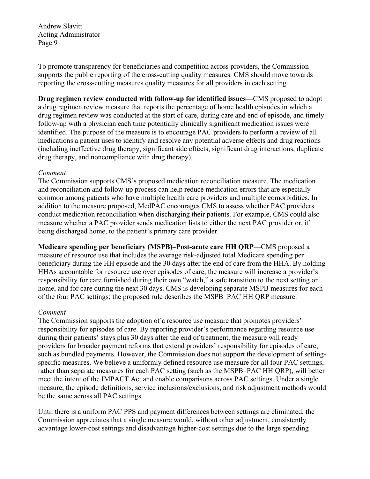To promote transparency for beneficiaries and competition across providers, the Commission supports the public reporting of the cross-cutting quality measures. CMS should move towards reporting the cross-cutting measures quality measures for all providers in each setting.

**Drug regimen review conducted with follow-up for identified issues—**CMS proposed to adopt a drug regimen review measure that reports the percentage of home health episodes in which a drug regimen review was conducted at the start of care, during care and end of episode, and timely follow-up with a physician each time potentially clinically significant medication issues were identified. The purpose of the measure is to encourage PAC providers to perform a review of all medications a patient uses to identify and resolve any potential adverse effects and drug reactions (including ineffective drug therapy, significant side effects, significant drug interactions, duplicate drug therapy, and noncompliance with drug therapy).

### *Comment*

The Commission supports CMS's proposed medication reconciliation measure. The medication and reconciliation and follow-up process can help reduce medication errors that are especially common among patients who have multiple health care providers and multiple comorbidities. In addition to the measure proposed, MedPAC encourages CMS to assess whether PAC providers conduct medication reconciliation when discharging their patients. For example, CMS could also measure whether a PAC provider sends medication lists to either the next PAC provider or, if being discharged home, to the patient's primary care provider.

**Medicare spending per beneficiary (MSPB)–Post-acute care HH QRP**—CMS proposed a measure of resource use that includes the average risk-adjusted total Medicare spending per beneficiary during the HH episode and the 30 days after the end of care from the HHA. By holding HHAs accountable for resource use over episodes of care, the measure will increase a provider's responsibility for care furnished during their own "watch," a safe transition to the next setting or home, and for care during the next 30 days. CMS is developing separate MSPB measures for each of the four PAC settings; the proposed rule describes the MSPB–PAC HH QRP measure.

### *Comment*

The Commission supports the adoption of a resource use measure that promotes providers' responsibility for episodes of care. By reporting provider's performance regarding resource use during their patients' stays plus 30 days after the end of treatment, the measure will ready providers for broader payment reforms that extend providers' responsibility for episodes of care, such as bundled payments. However, the Commission does not support the development of settingspecific measures. We believe a uniformly defined resource use measure for all four PAC settings, rather than separate measures for each PAC setting (such as the MSPB–PAC HH QRP), will better meet the intent of the IMPACT Act and enable comparisons across PAC settings. Under a single measure, the episode definitions, service inclusions/exclusions, and risk adjustment methods would be the same across all PAC settings.

Until there is a uniform PAC PPS and payment differences between settings are eliminated, the Commission appreciates that a single measure would, without other adjustment, consistently advantage lower-cost settings and disadvantage higher-cost settings due to the large spending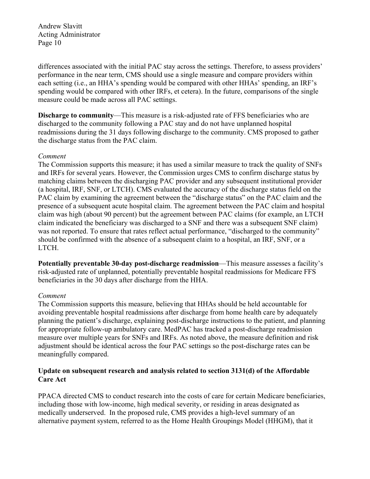differences associated with the initial PAC stay across the settings. Therefore, to assess providers' performance in the near term, CMS should use a single measure and compare providers within each setting (i.e., an HHA's spending would be compared with other HHAs' spending, an IRF's spending would be compared with other IRFs, et cetera). In the future, comparisons of the single measure could be made across all PAC settings.

**Discharge to community**—This measure is a risk-adjusted rate of FFS beneficiaries who are discharged to the community following a PAC stay and do not have unplanned hospital readmissions during the 31 days following discharge to the community. CMS proposed to gather the discharge status from the PAC claim.

### *Comment*

The Commission supports this measure; it has used a similar measure to track the quality of SNFs and IRFs for several years. However, the Commission urges CMS to confirm discharge status by matching claims between the discharging PAC provider and any subsequent institutional provider (a hospital, IRF, SNF, or LTCH). CMS evaluated the accuracy of the discharge status field on the PAC claim by examining the agreement between the "discharge status" on the PAC claim and the presence of a subsequent acute hospital claim. The agreement between the PAC claim and hospital claim was high (about 90 percent) but the agreement between PAC claims (for example, an LTCH claim indicated the beneficiary was discharged to a SNF and there was a subsequent SNF claim) was not reported. To ensure that rates reflect actual performance, "discharged to the community" should be confirmed with the absence of a subsequent claim to a hospital, an IRF, SNF, or a LTCH.

**Potentially preventable 30-day post-discharge readmission**—This measure assesses a facility's risk-adjusted rate of unplanned, potentially preventable hospital readmissions for Medicare FFS beneficiaries in the 30 days after discharge from the HHA.

### *Comment*

The Commission supports this measure, believing that HHAs should be held accountable for avoiding preventable hospital readmissions after discharge from home health care by adequately planning the patient's discharge, explaining post-discharge instructions to the patient, and planning for appropriate follow-up ambulatory care. MedPAC has tracked a post-discharge readmission measure over multiple years for SNFs and IRFs. As noted above, the measure definition and risk adjustment should be identical across the four PAC settings so the post-discharge rates can be meaningfully compared.

### **Update on subsequent research and analysis related to section 3131(d) of the Affordable Care Act**

PPACA directed CMS to conduct research into the costs of care for certain Medicare beneficiaries, including those with low-income, high medical severity, or residing in areas designated as medically underserved. In the proposed rule, CMS provides a high-level summary of an alternative payment system, referred to as the Home Health Groupings Model (HHGM), that it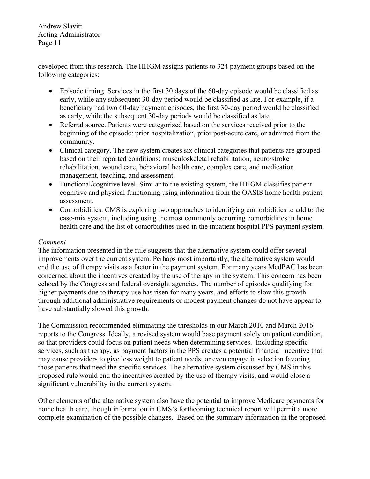developed from this research. The HHGM assigns patients to 324 payment groups based on the following categories:

- Episode timing. Services in the first 30 days of the 60-day episode would be classified as early, while any subsequent 30-day period would be classified as late. For example, if a beneficiary had two 60-day payment episodes, the first 30-day period would be classified as early, while the subsequent 30-day periods would be classified as late.
- Referral source. Patients were categorized based on the services received prior to the beginning of the episode: prior hospitalization, prior post-acute care, or admitted from the community.
- Clinical category. The new system creates six clinical categories that patients are grouped based on their reported conditions: musculoskeletal rehabilitation, neuro/stroke rehabilitation, wound care, behavioral health care, complex care, and medication management, teaching, and assessment.
- Functional/cognitive level. Similar to the existing system, the HHGM classifies patient cognitive and physical functioning using information from the OASIS home health patient assessment.
- Comorbidities. CMS is exploring two approaches to identifying comorbidities to add to the case-mix system, including using the most commonly occurring comorbidities in home health care and the list of comorbidities used in the inpatient hospital PPS payment system.

# *Comment*

The information presented in the rule suggests that the alternative system could offer several improvements over the current system. Perhaps most importantly, the alternative system would end the use of therapy visits as a factor in the payment system. For many years MedPAC has been concerned about the incentives created by the use of therapy in the system. This concern has been echoed by the Congress and federal oversight agencies. The number of episodes qualifying for higher payments due to therapy use has risen for many years, and efforts to slow this growth through additional administrative requirements or modest payment changes do not have appear to have substantially slowed this growth.

The Commission recommended eliminating the thresholds in our March 2010 and March 2016 reports to the Congress. Ideally, a revised system would base payment solely on patient condition, so that providers could focus on patient needs when determining services. Including specific services, such as therapy, as payment factors in the PPS creates a potential financial incentive that may cause providers to give less weight to patient needs, or even engage in selection favoring those patients that need the specific services. The alternative system discussed by CMS in this proposed rule would end the incentives created by the use of therapy visits, and would close a significant vulnerability in the current system.

Other elements of the alternative system also have the potential to improve Medicare payments for home health care, though information in CMS's forthcoming technical report will permit a more complete examination of the possible changes. Based on the summary information in the proposed